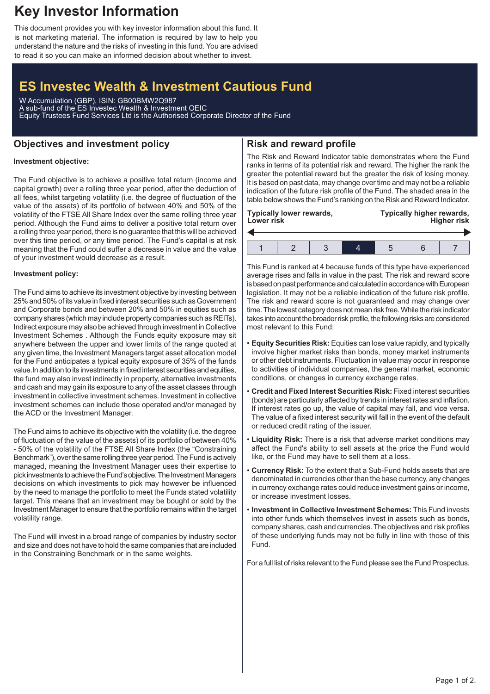## **Key Investor Information**

This document provides you with key investor information about this fund. It is not marketing material. The information is required by law to help you understand the nature and the risks of investing in this fund. You are advised to read it so you can make an informed decision about whether to invest.

# **ES Investec Wealth & Investment Cautious Fund**

W Accumulation (GBP), ISIN: GB00BMW2Q987 A sub-fund of the ES Investec Wealth & Investment OEIC Equity Trustees Fund Services Ltd is the Authorised Corporate Director of the Fund

### **Objectives and investment policy**

## **Risk and reward profile**

### **Investment objective:**

The Fund objective is to achieve a positive total return (income and capital growth) over a rolling three year period, after the deduction of all fees, whilst targeting volatility (i.e. the degree of fluctuation of the value of the assets) of its portfolio of between 40% and 50% of the volatility of the FTSE All Share Index over the same rolling three year period. Although the Fund aims to deliver a positive total return over a rolling three year period, there is no guarantee that this will be achieved over this time period, or any time period. The Fund's capital is at risk meaning that the Fund could suffer a decrease in value and the value of your investment would decrease as a result.

#### **Investment policy:**

The Fund aims to achieve its investment objective by investing between 25% and 50% of its value in fixed interest securities such as Government and Corporate bonds and between 20% and 50% in equities such as company shares (which may include property companies such as REITs). Indirect exposure may also be achieved through investment in Collective Investment Schemes . Although the Funds equity exposure may sit anywhere between the upper and lower limits of the range quoted at any given time, the Investment Managers target asset allocation model for the Fund anticipates a typical equity exposure of 35% of the funds value.In addition to its investments in fixed interest securities and equities, the fund may also invest indirectly in property, alternative investments and cash and may gain its exposure to any of the asset classes through investment in collective investment schemes. Investment in collective investment schemes can include those operated and/or managed by the ACD or the Investment Manager.

The Fund aims to achieve its objective with the volatility (i.e. the degree of fluctuation of the value of the assets) of its portfolio of between 40% - 50% of the volatility of the FTSE All Share Index (the "Constraining Benchmark"), over the same rolling three year period. The Fund is actively managed, meaning the Investment Manager uses their expertise to pick investments to achieve the Fund's objective. The Investment Managers decisions on which investments to pick may however be influenced by the need to manage the portfolio to meet the Funds stated volatility target. This means that an investment may be bought or sold by the Investment Manager to ensure that the portfolio remains within the target volatility range.

The Fund will invest in a broad range of companies by industry sector and size and does not have to hold the same companies that are included in the Constraining Benchmark or in the same weights.

The Risk and Reward Indicator table demonstrates where the Fund ranks in terms of its potential risk and reward. The higher the rank the greater the potential reward but the greater the risk of losing money. It is based on past data, may change over time and may not be a reliable indication of the future risk profile of the Fund. The shaded area in the table below shows the Fund's ranking on the Risk and Reward Indicator.

| Typically lower rewards,<br><b>Lower risk</b> |  |  |  | Typically higher rewards,<br><b>Higher risk</b> |  |  |
|-----------------------------------------------|--|--|--|-------------------------------------------------|--|--|
|                                               |  |  |  |                                                 |  |  |
|                                               |  |  |  |                                                 |  |  |

This Fund is ranked at 4 because funds of this type have experienced average rises and falls in value in the past. The risk and reward score is based on past performance and calculated in accordance with European legislation. It may not be a reliable indication of the future risk profile. The risk and reward score is not guaranteed and may change over time. The lowest category does not mean risk free.While the risk indicator takes into account the broader risk profile, the following risks are considered most relevant to this Fund:

- **Equity Securities Risk:** Equities can lose value rapidly, and typically involve higher market risks than bonds, money market instruments or other debt instruments. Fluctuation in value may occur in response to activities of individual companies, the general market, economic conditions, or changes in currency exchange rates.
- **Credit and Fixed Interest Securities Risk:** Fixed interest securities (bonds) are particularly affected by trends in interest rates and inflation. If interest rates go up, the value of capital may fall, and vice versa. The value of a fixed interest security will fall in the event of the default or reduced credit rating of the issuer.
- **Liquidity Risk:** There is a risk that adverse market conditions may affect the Fund's ability to sell assets at the price the Fund would like, or the Fund may have to sell them at a loss.
- **Currency Risk:** To the extent that a Sub-Fund holds assets that are denominated in currencies other than the base currency, any changes in currency exchange rates could reduce investment gains or income, or increase investment losses.
- **Investment in Collective Investment Schemes:** This Fund invests into other funds which themselves invest in assets such as bonds, company shares, cash and currencies. The objectives and risk profiles of these underlying funds may not be fully in line with those of this Fund.

For a full list of risks relevant to the Fund please see the Fund Prospectus.